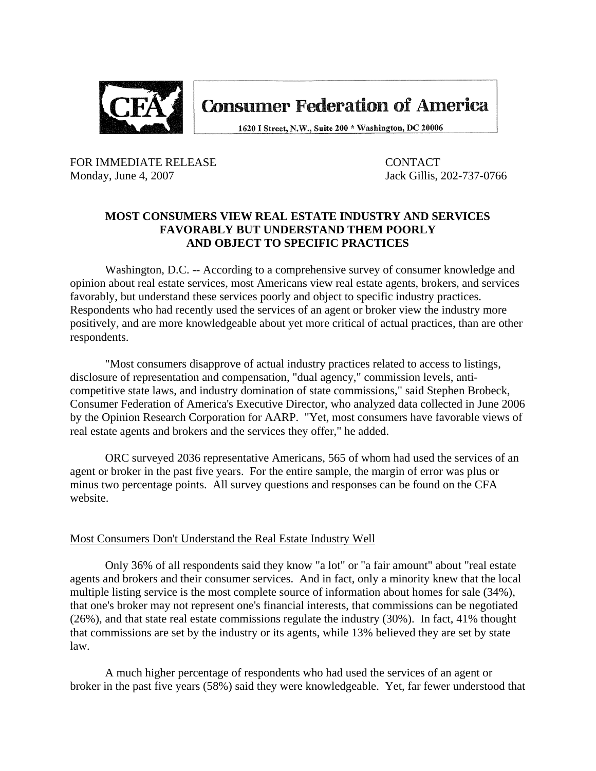

**Consumer Federation of America** 

1620 I Street, N.W., Suite 200 \* Washington, DC 20006

FOR IMMEDIATE RELEASE CONTACT Monday, June 4, 2007 **Jack Gillis, 202-737-0766** 

## **MOST CONSUMERS VIEW REAL ESTATE INDUSTRY AND SERVICES FAVORABLY BUT UNDERSTAND THEM POORLY AND OBJECT TO SPECIFIC PRACTICES**

 Washington, D.C. -- According to a comprehensive survey of consumer knowledge and opinion about real estate services, most Americans view real estate agents, brokers, and services favorably, but understand these services poorly and object to specific industry practices. Respondents who had recently used the services of an agent or broker view the industry more positively, and are more knowledgeable about yet more critical of actual practices, than are other respondents.

 "Most consumers disapprove of actual industry practices related to access to listings, disclosure of representation and compensation, "dual agency," commission levels, anticompetitive state laws, and industry domination of state commissions," said Stephen Brobeck, Consumer Federation of America's Executive Director, who analyzed data collected in June 2006 by the Opinion Research Corporation for AARP. "Yet, most consumers have favorable views of real estate agents and brokers and the services they offer," he added.

 ORC surveyed 2036 representative Americans, 565 of whom had used the services of an agent or broker in the past five years. For the entire sample, the margin of error was plus or minus two percentage points. All survey questions and responses can be found on the CFA website.

### Most Consumers Don't Understand the Real Estate Industry Well

 Only 36% of all respondents said they know "a lot" or "a fair amount" about "real estate agents and brokers and their consumer services. And in fact, only a minority knew that the local multiple listing service is the most complete source of information about homes for sale (34%), that one's broker may not represent one's financial interests, that commissions can be negotiated (26%), and that state real estate commissions regulate the industry (30%). In fact, 41% thought that commissions are set by the industry or its agents, while 13% believed they are set by state law.

 A much higher percentage of respondents who had used the services of an agent or broker in the past five years (58%) said they were knowledgeable. Yet, far fewer understood that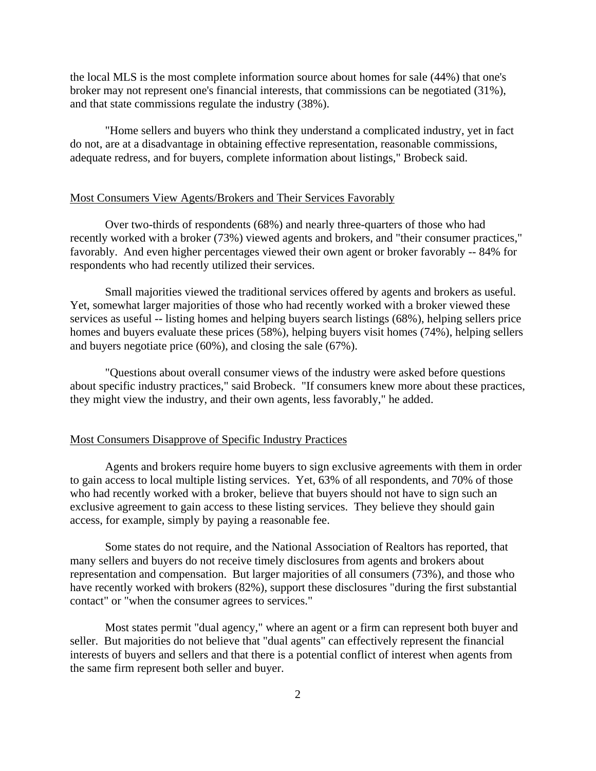the local MLS is the most complete information source about homes for sale (44%) that one's broker may not represent one's financial interests, that commissions can be negotiated (31%), and that state commissions regulate the industry (38%).

 "Home sellers and buyers who think they understand a complicated industry, yet in fact do not, are at a disadvantage in obtaining effective representation, reasonable commissions, adequate redress, and for buyers, complete information about listings," Brobeck said.

#### Most Consumers View Agents/Brokers and Their Services Favorably

 Over two-thirds of respondents (68%) and nearly three-quarters of those who had recently worked with a broker (73%) viewed agents and brokers, and "their consumer practices," favorably. And even higher percentages viewed their own agent or broker favorably -- 84% for respondents who had recently utilized their services.

 Small majorities viewed the traditional services offered by agents and brokers as useful. Yet, somewhat larger majorities of those who had recently worked with a broker viewed these services as useful -- listing homes and helping buyers search listings (68%), helping sellers price homes and buyers evaluate these prices (58%), helping buyers visit homes (74%), helping sellers and buyers negotiate price (60%), and closing the sale (67%).

 "Questions about overall consumer views of the industry were asked before questions about specific industry practices," said Brobeck. "If consumers knew more about these practices, they might view the industry, and their own agents, less favorably," he added.

#### Most Consumers Disapprove of Specific Industry Practices

 Agents and brokers require home buyers to sign exclusive agreements with them in order to gain access to local multiple listing services. Yet, 63% of all respondents, and 70% of those who had recently worked with a broker, believe that buyers should not have to sign such an exclusive agreement to gain access to these listing services. They believe they should gain access, for example, simply by paying a reasonable fee.

 Some states do not require, and the National Association of Realtors has reported, that many sellers and buyers do not receive timely disclosures from agents and brokers about representation and compensation. But larger majorities of all consumers (73%), and those who have recently worked with brokers (82%), support these disclosures "during the first substantial contact" or "when the consumer agrees to services."

 Most states permit "dual agency," where an agent or a firm can represent both buyer and seller. But majorities do not believe that "dual agents" can effectively represent the financial interests of buyers and sellers and that there is a potential conflict of interest when agents from the same firm represent both seller and buyer.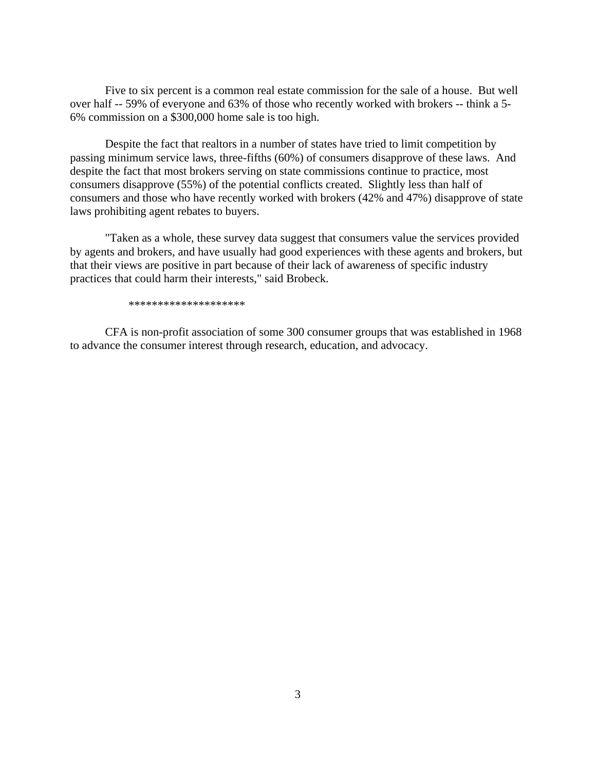Five to six percent is a common real estate commission for the sale of a house. But well over half -- 59% of everyone and 63% of those who recently worked with brokers -- think a 5- 6% commission on a \$300,000 home sale is too high.

 Despite the fact that realtors in a number of states have tried to limit competition by passing minimum service laws, three-fifths (60%) of consumers disapprove of these laws. And despite the fact that most brokers serving on state commissions continue to practice, most consumers disapprove (55%) of the potential conflicts created. Slightly less than half of consumers and those who have recently worked with brokers (42% and 47%) disapprove of state laws prohibiting agent rebates to buyers.

 "Taken as a whole, these survey data suggest that consumers value the services provided by agents and brokers, and have usually had good experiences with these agents and brokers, but that their views are positive in part because of their lack of awareness of specific industry practices that could harm their interests," said Brobeck.

\*\*\*\*\*\*\*\*\*\*\*\*\*\*\*\*\*\*\*\*

 CFA is non-profit association of some 300 consumer groups that was established in 1968 to advance the consumer interest through research, education, and advocacy.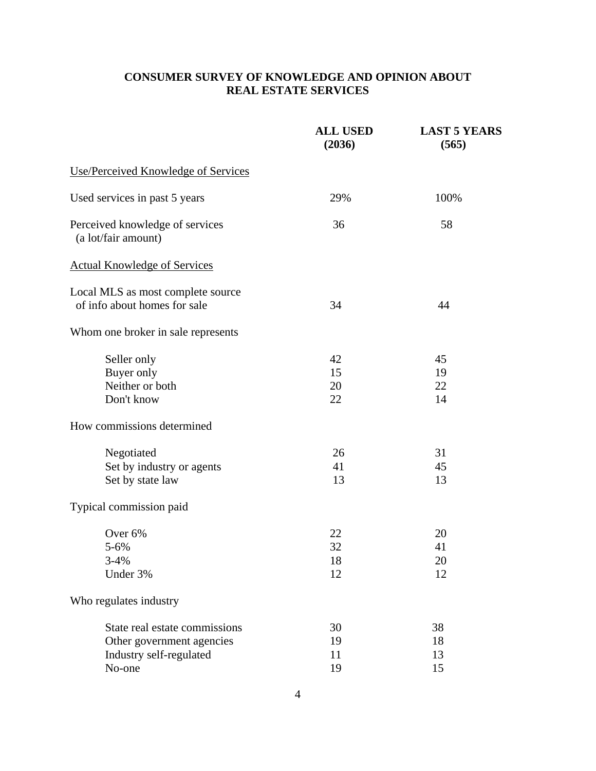# **CONSUMER SURVEY OF KNOWLEDGE AND OPINION ABOUT REAL ESTATE SERVICES**

|                                                        | <b>ALL USED</b><br>(2036) | <b>LAST 5 YEARS</b><br>(565) |
|--------------------------------------------------------|---------------------------|------------------------------|
| <b>Use/Perceived Knowledge of Services</b>             |                           |                              |
| Used services in past 5 years                          | 29%                       | 100%                         |
| Perceived knowledge of services<br>(a lot/fair amount) | 36                        | 58                           |
| <b>Actual Knowledge of Services</b>                    |                           |                              |
| Local MLS as most complete source                      |                           |                              |
| of info about homes for sale                           | 34                        | 44                           |
| Whom one broker in sale represents                     |                           |                              |
| Seller only                                            | 42                        | 45                           |
| Buyer only                                             | 15                        | 19                           |
| Neither or both                                        | 20                        | 22                           |
| Don't know                                             | 22                        | 14                           |
| How commissions determined                             |                           |                              |
| Negotiated                                             | 26                        | 31                           |
| Set by industry or agents                              | 41                        | 45                           |
| Set by state law                                       | 13                        | 13                           |
| Typical commission paid                                |                           |                              |
| Over 6%                                                | 22                        | 20                           |
| $5 - 6%$                                               | 32                        | 41                           |
| $3 - 4%$                                               | 18                        | 20                           |
| Under 3%                                               | 12                        | 12                           |
| Who regulates industry                                 |                           |                              |
| State real estate commissions                          | 30                        | 38                           |
| Other government agencies                              | 19                        | 18                           |
| Industry self-regulated                                | 11                        | 13                           |
| No-one                                                 | 19                        | 15                           |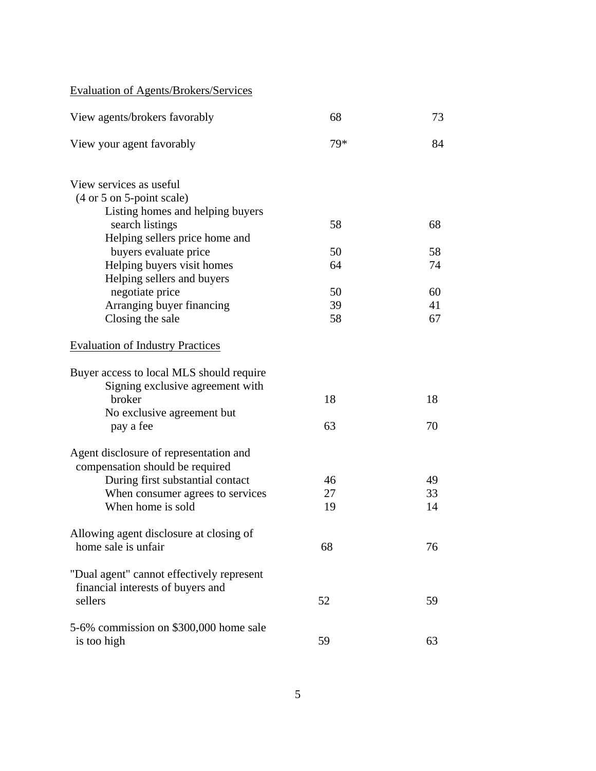Evaluation of Agents/Brokers/Services

| View agents/brokers favorably                                       | 68  | 73 |
|---------------------------------------------------------------------|-----|----|
| View your agent favorably                                           | 79* | 84 |
| View services as useful                                             |     |    |
| $(4 \text{ or } 5 \text{ on } 5\text{-point scale})$                |     |    |
| Listing homes and helping buyers                                    |     |    |
| search listings                                                     | 58  | 68 |
| Helping sellers price home and<br>buyers evaluate price             | 50  | 58 |
| Helping buyers visit homes                                          | 64  | 74 |
| Helping sellers and buyers                                          |     |    |
| negotiate price                                                     | 50  | 60 |
| Arranging buyer financing                                           | 39  | 41 |
| Closing the sale                                                    | 58  | 67 |
| <b>Evaluation of Industry Practices</b>                             |     |    |
| Buyer access to local MLS should require                            |     |    |
| Signing exclusive agreement with                                    |     |    |
| broker                                                              | 18  | 18 |
| No exclusive agreement but                                          |     |    |
| pay a fee                                                           | 63  | 70 |
| Agent disclosure of representation and                              |     |    |
| compensation should be required<br>During first substantial contact | 46  | 49 |
| When consumer agrees to services                                    | 27  | 33 |
| When home is sold                                                   | 19  | 14 |
| Allowing agent disclosure at closing of                             |     |    |
| home sale is unfair                                                 | 68  | 76 |
| "Dual agent" cannot effectively represent                           |     |    |
| financial interests of buyers and                                   |     |    |
| sellers                                                             | 52  | 59 |
| 5-6% commission on \$300,000 home sale                              |     |    |
| is too high                                                         | 59  | 63 |